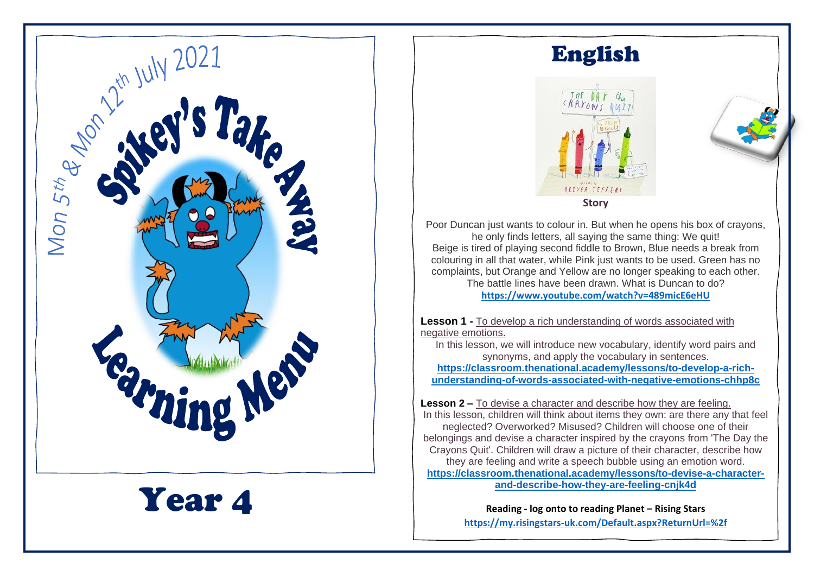

Year 4

## English





Poor Duncan just wants to colour in. But when he opens his box of crayons, he only finds letters, all saying the same thing: We quit! Beige is tired of playing second fiddle to Brown, Blue needs a break from colouring in all that water, while Pink just wants to be used. Green has no complaints, but Orange and Yellow are no longer speaking to each other. The battle lines have been drawn. What is Duncan to do? **<https://www.youtube.com/watch?v=489micE6eHU>**

**Lesson 1 -** To develop a rich understanding of words associated with negative emotions.

In this lesson, we will introduce new vocabulary, identify word pairs and synonyms, and apply the vocabulary in sentences.

**[https://classroom.thenational.academy/lessons/to-develop-a-rich](https://classroom.thenational.academy/lessons/to-develop-a-rich-understanding-of-words-associated-with-negative-emotions-chhp8c)[understanding-of-words-associated-with-negative-emotions-chhp8c](https://classroom.thenational.academy/lessons/to-develop-a-rich-understanding-of-words-associated-with-negative-emotions-chhp8c)**

**Lesson 2 –** To devise a character and describe how they are feeling. In this lesson, children will think about items they own: are there any that feel neglected? Overworked? Misused? Children will choose one of their belongings and devise a character inspired by the crayons from 'The Day the Crayons Quit'. Children will draw a picture of their character, describe how they are feeling and write a speech bubble using an emotion word. **[https://classroom.thenational.academy/lessons/to-devise-a-character](https://classroom.thenational.academy/lessons/to-devise-a-character-and-describe-how-they-are-feeling-cnjk4d)[and-describe-how-they-are-feeling-cnjk4d](https://classroom.thenational.academy/lessons/to-devise-a-character-and-describe-how-they-are-feeling-cnjk4d)**

> **Reading - log onto to reading Planet – Rising Stars <https://my.risingstars-uk.com/Default.aspx?ReturnUrl=%2f>**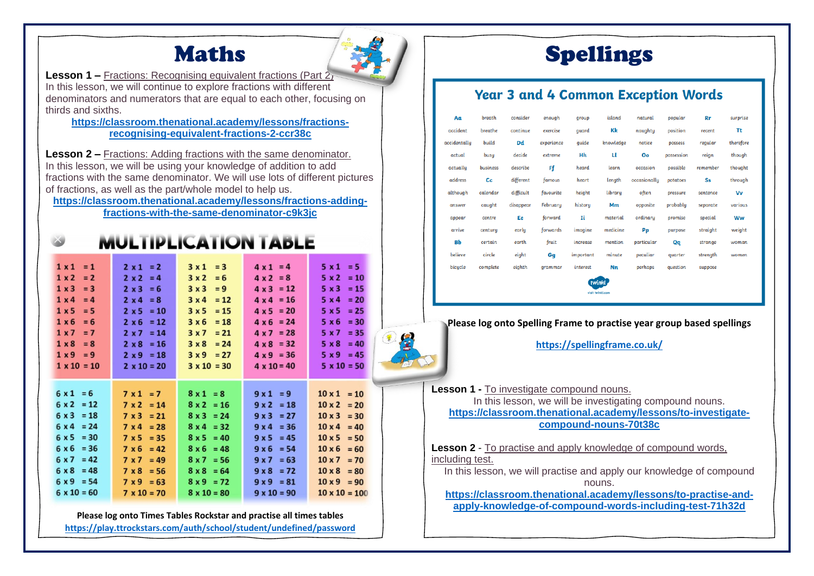## Maths



**Lesson 1 –** Fractions: Recognising equivalent fractions (Part 2) In this lesson, we will continue to explore fractions with different denominators and numerators that are equal to each other, focusing on thirds and sixths.

#### **[https://classroom.thenational.academy/lessons/fractions](https://classroom.thenational.academy/lessons/fractions-recognising-equivalent-fractions-2-ccr38c)[recognising-equivalent-fractions-2-ccr38c](https://classroom.thenational.academy/lessons/fractions-recognising-equivalent-fractions-2-ccr38c)**

**Lesson 2 –** Fractions: Adding fractions with the same denominator. In this lesson, we will be using your knowledge of addition to add fractions with the same denominator. We will use lots of different pictures of fractions, as well as the part/whole model to help us.

**[https://classroom.thenational.academy/lessons/fractions-adding](https://classroom.thenational.academy/lessons/fractions-adding-fractions-with-the-same-denominator-c9k3jc)[fractions-with-the-same-denominator-c9k3jc](https://classroom.thenational.academy/lessons/fractions-adding-fractions-with-the-same-denominator-c9k3jc)**

and construction of the second construction of the con-

|                                                                                                                                                                                   |                                                                                                                                                             | MULI IPLICA I ION TADLE                                                                                                             |                                                                                                                                                                    |                                                                                                                                                                |
|-----------------------------------------------------------------------------------------------------------------------------------------------------------------------------------|-------------------------------------------------------------------------------------------------------------------------------------------------------------|-------------------------------------------------------------------------------------------------------------------------------------|--------------------------------------------------------------------------------------------------------------------------------------------------------------------|----------------------------------------------------------------------------------------------------------------------------------------------------------------|
| $1 \times 1$<br>$= 1$<br>$= 2$<br>$1 \times 2$<br>$1 \times 3$<br>$= 3$<br>$1 \times 4$<br>$= 4$<br>1x5<br>$= 5$<br>$1 \times 6$<br>$= 6$<br>$1 x 7 = 7$<br>$1 \times 8$<br>$= 8$ | $2 \times 1 = 2$<br>$2 x 2 = 4$<br>$2 \times 3 = 6$<br>$2 \times 4 = 8$<br>$2 \times 5 = 10$<br>$2 \times 6 = 12$<br>$2 \times 7 = 14$<br>$2 \times 8 = 16$ | $3x1 = 3$<br>3x2<br>$= 6$<br>3x3<br>$= 9$<br>$= 12$<br>3x4<br>$= 15$<br>3x5<br>$3 \times 6 = 18$<br>$3x7 = 21$<br>$3 \times 8 = 24$ | $4 \times 1 = 4$<br>$4 \times 2 = 8$<br>$4 \times 3 = 12$<br>$4 \times 4 = 16$<br>$4 \times 5 = 20$<br>$4 \times 6 = 24$<br>$4 \times 7 = 28$<br>$4 \times 8 = 32$ | $5x1 = 5$<br>$5 \times 2 = 10$<br>5 x 3<br>$= 15$<br>$5 \times 4$<br>$= 20$<br>5 x 5<br>$= 25$<br>$5 \times 6$<br>$= 30$<br>5 x 7<br>$= 35$<br>5 x 8<br>$= 40$ |
| $1 \times 9 = 9$                                                                                                                                                                  | $2 \times 9 = 18$                                                                                                                                           | $3x9 = 27$                                                                                                                          | $4 \times 9 = 36$                                                                                                                                                  | $5 \times 9 = 45$                                                                                                                                              |
| $1 \times 10 = 10$                                                                                                                                                                | $2 \times 10 = 20$                                                                                                                                          | $3 \times 10 = 30$                                                                                                                  | $4 \times 10 = 40$                                                                                                                                                 | $5 \times 10 = 50$                                                                                                                                             |
| $6x1 = 6$                                                                                                                                                                         | $7 \times 1 = 7$                                                                                                                                            | $8x1 = 8$                                                                                                                           | $9x1 = 9$                                                                                                                                                          | $10 \times 1 = 10$                                                                                                                                             |
| $6 \times 2 = 12$                                                                                                                                                                 | $7 \times 2 = 14$                                                                                                                                           | $8 \times 2 = 16$                                                                                                                   | $9 \times 2 = 18$                                                                                                                                                  | $10 \times 2 = 20$                                                                                                                                             |
| $6 \times 3 = 18$                                                                                                                                                                 | $7 \times 3 = 21$                                                                                                                                           | $8 \times 3 = 24$                                                                                                                   | $9x3 = 27$                                                                                                                                                         | $10 \times 3 = 30$                                                                                                                                             |
| $6 \times 4 = 24$                                                                                                                                                                 | $7 \times 4 = 28$                                                                                                                                           | $8x4 = 32$                                                                                                                          | $9x4 = 36$                                                                                                                                                         | $10 \times 4 = 40$                                                                                                                                             |
| $6 \times 5 = 30$                                                                                                                                                                 | $7 \times 5 = 35$                                                                                                                                           | $8 \times 5 = 40$                                                                                                                   | $9x5 = 45$                                                                                                                                                         | $10 \times 5 = 50$                                                                                                                                             |
| $6 \times 6 = 36$                                                                                                                                                                 | $7 \times 6 = 42$                                                                                                                                           | $8 \times 6 = 48$                                                                                                                   | $9 \times 6 = 54$                                                                                                                                                  | $10 \times 6 = 60$                                                                                                                                             |
| $6 \times 7 = 42$                                                                                                                                                                 | $7 \times 7 = 49$                                                                                                                                           | $8 \times 7 = 56$                                                                                                                   | $9x7 = 63$                                                                                                                                                         | $10 \times 7 = 70$                                                                                                                                             |
| $6 \times 8 = 48$                                                                                                                                                                 | $7 \times 8 = 56$                                                                                                                                           | $8 \times 8 = 64$                                                                                                                   | $9 \times 8 = 72$                                                                                                                                                  | $10 \times 8 = 80$                                                                                                                                             |
| $6 \times 9 = 54$                                                                                                                                                                 | $7 \times 9 = 63$                                                                                                                                           | $8 \times 9 = 72$                                                                                                                   | $9 \times 9 = 81$                                                                                                                                                  | $10 \times 9 = 90$                                                                                                                                             |
| $6 \times 10 = 60$                                                                                                                                                                | $7 \times 10 = 70$                                                                                                                                          | $8 \times 10 = 80$                                                                                                                  | $9 \times 10 = 90$                                                                                                                                                 | $10 \times 10 = 100$                                                                                                                                           |

**Please log onto Times Tables Rockstar and practise all times tables <https://play.ttrockstars.com/auth/school/student/undefined/password>**

# Spellings

### **Year 3 and 4 Common Exception Words**

| Aa           | breath   | consider  | enough     | qroup     | island    | natural      | popular    | Rr       | surprise  |  |  |
|--------------|----------|-----------|------------|-----------|-----------|--------------|------------|----------|-----------|--|--|
| accident     | breathe  | continue  | exercise   | quard     | Kk        | naughty      | position   | recent   | Τt        |  |  |
| accidentally | build    | Dd        | experience | quide     | knowledge | notice       | possess    | regular  | therefore |  |  |
| actual       | busy     | decide    | extreme    | Hh        | п         | Oo           | possession | reign    | though    |  |  |
| actually     | business | describe  | Ff         | heard     | learn     | occasion     | possible   | remember | thought   |  |  |
| address      | Сc       | different | famous     | heart     | length    | occasionally | potatoes   | Ss       | through   |  |  |
| although     | calendar | difficult | favourite  | height    | library   | often        | pressure   | sentence | Vv        |  |  |
| answer       | caught   | disappear | February   | history   | Mm        | opposite     | probably   | separate | various   |  |  |
| appear       | centre   | Ee        | forward    | Ii        | material  | ordinary     | promise    | special  | Ww        |  |  |
| arrive       | century  | early     | forwards   | imagine   | medicine  | Pp           | purpose    | straight | weight    |  |  |
| Bb           | certain  | earth     | fruit      | increase  | mention   | particular   | Qq         | strange  | woman     |  |  |
| believe      | circle   | eight     | Gq         | important | minute    | peculiar     | quarter    | strength | women     |  |  |
| bicycle      | complete | eighth    | grammar    | interest  | Nn        | perhaps      | question   | suppose  |           |  |  |
| twinkl       |          |           |            |           |           |              |            |          |           |  |  |

#### **Please log onto Spelling Frame to practise year group based spellings**

ulait tudoki a

**<https://spellingframe.co.uk/>**

**Lesson 1 -** To investigate compound nouns. In this lesson, we will be investigating compound nouns. **[https://classroom.thenational.academy/lessons/to-investigate](https://classroom.thenational.academy/lessons/to-investigate-compound-nouns-70t38c)[compound-nouns-70t38c](https://classroom.thenational.academy/lessons/to-investigate-compound-nouns-70t38c)**

**Lesson 2** - To practise and apply knowledge of compound words, including test.

In this lesson, we will practise and apply our knowledge of compound nouns.

**[https://classroom.thenational.academy/lessons/to-practise-and](https://classroom.thenational.academy/lessons/to-practise-and-apply-knowledge-of-compound-words-including-test-71h32d)[apply-knowledge-of-compound-words-including-test-71h32d](https://classroom.thenational.academy/lessons/to-practise-and-apply-knowledge-of-compound-words-including-test-71h32d)**